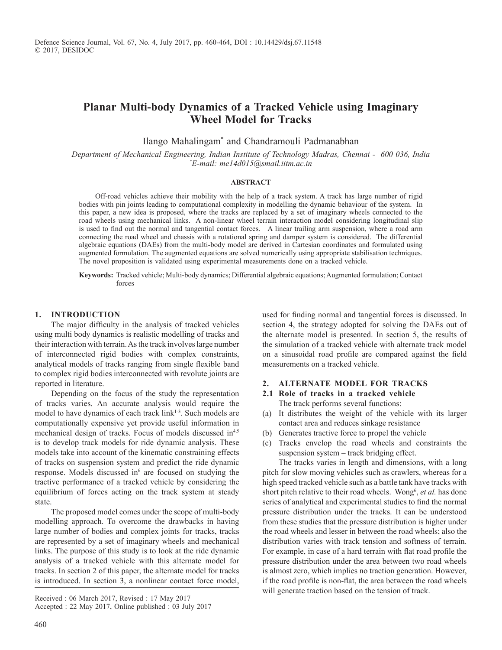# **Planar Multi-body Dynamics of a Tracked Vehicle using Imaginary Wheel Model for Tracks**

Ilango Mahalingam\* and Chandramouli Padmanabhan

*Department of Mechanical Engineering, Indian Institute of Technology Madras, Chennai - 600 036, India \* E-mail: me14d015@smail.iitm.ac.in*

## **Abstract**

Off-road vehicles achieve their mobility with the help of a track system. A track has large number of rigid bodies with pin joints leading to computational complexity in modelling the dynamic behaviour of the system. In this paper, a new idea is proposed, where the tracks are replaced by a set of imaginary wheels connected to the road wheels using mechanical links. A non-linear wheel terrain interaction model considering longitudinal slip is used to find out the normal and tangential contact forces. A linear trailing arm suspension, where a road arm connecting the road wheel and chassis with a rotational spring and damper system is considered. The differential algebraic equations (DAEs) from the multi-body model are derived in Cartesian coordinates and formulated using augmented formulation. The augmented equations are solved numerically using appropriate stabilisation techniques. The novel proposition is validated using experimental measurements done on a tracked vehicle.

**Keywords:** Tracked vehicle; Multi-body dynamics; Differential algebraic equations; Augmented formulation; Contact forces

#### **1. Introduction**

The major difficulty in the analysis of tracked vehicles using multi body dynamics is realistic modelling of tracks and their interaction with terrain. As the track involves large number of interconnected rigid bodies with complex constraints, analytical models of tracks ranging from single flexible band to complex rigid bodies interconnected with revolute joints are reported in literature.

Depending on the focus of the study the representation of tracks varies. An accurate analysis would require the model to have dynamics of each track link<sup>1-3</sup>. Such models are computationally expensive yet provide useful information in mechanical design of tracks. Focus of models discussed in<sup>4,5</sup> is to develop track models for ride dynamic analysis. These models take into account of the kinematic constraining effects of tracks on suspension system and predict the ride dynamic response. Models discussed in<sup>6</sup> are focused on studying the tractive performance of a tracked vehicle by considering the equilibrium of forces acting on the track system at steady state.

The proposed model comes under the scope of multi-body modelling approach. To overcome the drawbacks in having large number of bodies and complex joints for tracks, tracks are represented by a set of imaginary wheels and mechanical links. The purpose of this study is to look at the ride dynamic analysis of a tracked vehicle with this alternate model for tracks. In section 2 of this paper, the alternate model for tracks is introduced. In section 3, a nonlinear contact force model,

Received : 06 March 2017, Revised : 17 May 2017

Accepted : 22 May 2017, Online published : 03 July 2017

used for finding normal and tangential forces is discussed. In section 4, the strategy adopted for solving the DAEs out of the alternate model is presented. In section 5, the results of the simulation of a tracked vehicle with alternate track model on a sinusoidal road profile are compared against the field measurements on a tracked vehicle.

# **2. Alternate model for tracks**

- **2.1 Role of tracks in a tracked vehicle** The track performs several functions:
- (a) It distributes the weight of the vehicle with its larger contact area and reduces sinkage resistance
- (b) Generates tractive force to propel the vehicle
- (c) Tracks envelop the road wheels and constraints the suspension system – track bridging effect.

The tracks varies in length and dimensions, with a long pitch for slow moving vehicles such as crawlers, whereas for a high speed tracked vehicle such as a battle tank have tracks with short pitch relative to their road wheels. Wong<sup>6</sup>, et al. has done series of analytical and experimental studies to find the normal pressure distribution under the tracks. It can be understood from these studies that the pressure distribution is higher under the road wheels and lesser in between the road wheels; also the distribution varies with track tension and softness of terrain. For example, in case of a hard terrain with flat road profile the pressure distribution under the area between two road wheels is almost zero, which implies no traction generation. However, if the road profile is non-flat, the area between the road wheels will generate traction based on the tension of track.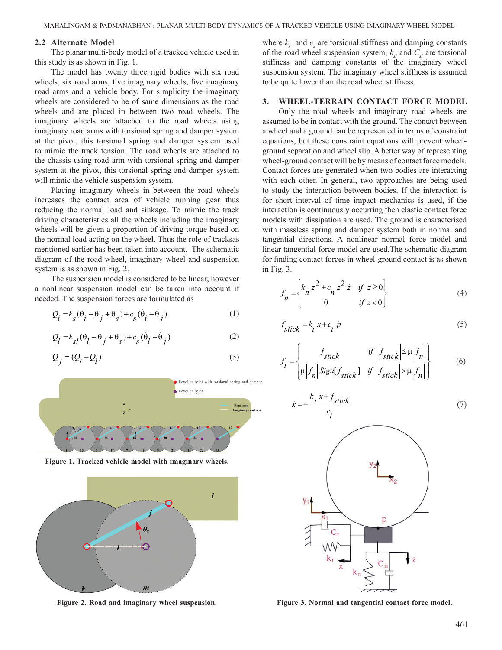#### **2.2 Alternate Model**

The planar multi-body model of a tracked vehicle used in this study is as shown in Fig. 1.

The model has twenty three rigid bodies with six road wheels, six road arms, five imaginary wheels, five imaginary road arms and a vehicle body. For simplicity the imaginary wheels are considered to be of same dimensions as the road wheels and are placed in between two road wheels. The imaginary wheels are attached to the road wheels using imaginary road arms with torsional spring and damper system at the pivot, this torsional spring and damper system used to mimic the track tension. The road wheels are attached to the chassis using road arm with torsional spring and damper system at the pivot, this torsional spring and damper system will mimic the vehicle suspension system.

Placing imaginary wheels in between the road wheels increases the contact area of vehicle running gear thus reducing the normal load and sinkage. To mimic the track driving characteristics all the wheels including the imaginary wheels will be given a proportion of driving torque based on the normal load acting on the wheel. Thus the role of tracksas mentioned earlier has been taken into account. The schematic diagram of the road wheel, imaginary wheel and suspension system is as shown in Fig. 2.

The suspension model is considered to be linear; however a nonlinear suspension model can be taken into account if needed. The suspension forces are formulated as

$$
Q_i = k_g (\theta_i - \theta_j + \theta_s) + c_g (\dot{\theta}_i - \dot{\theta}_j)
$$
 (1)

$$
Q_l = k_{sl}(\theta_l - \theta_j + \theta_s) + c_s(\dot{\theta}_l - \dot{\theta}_j)
$$
 (2)

$$
Q_j = (Q_i - Q_l) \tag{3}
$$



**Figure 1. Tracked vehicle model with imaginary wheels.**



where  $k_s$  and  $c_s$  are torsional stiffness and damping constants of the road wheel suspension system,  $k<sub>st</sub>$  and  $C<sub>st</sub>$  are torsional stiffness and damping constants of the imaginary wheel suspension system. The imaginary wheel stiffness is assumed to be quite lower than the road wheel stiffness.

## **3. Wheel-terrain contact force model**

Only the road wheels and imaginary road wheels are assumed to be in contact with the ground. The contact between a wheel and a ground can be represented in terms of constraint equations, but these constraint equations will prevent wheelground separation and wheel slip. A better way of representing wheel-ground contact will be by means of contact force models. Contact forces are generated when two bodies are interacting with each other. In general, two approaches are being used to study the interaction between bodies. If the interaction is for short interval of time impact mechanics is used, if the interaction is continuously occurring then elastic contact force models with dissipation are used. The ground is characterised with massless spring and damper system both in normal and tangential directions. A nonlinear normal force model and linear tangential force model are used.The schematic diagram for finding contact forces in wheel-ground contact is as shown in Fig. 3.

$$
f_n = \begin{cases} k_n z^2 + c_n z^2 \dot{z} & \text{if } z \ge 0 \\ 0 & \text{if } z < 0 \end{cases}
$$
 (4)

$$
f_{stick} = k_t x + c_t \dot{p}
$$
 (5)

$$
f_{t} = \begin{cases} f_{stick} & \text{if } \left| f_{stick} \right| \leq \mu \left| f_{n} \right| \\ \mu \left| f_{n} \right| Sign[f_{stick}] & \text{if } \left| f_{stick} \right| > \mu \left| f_{n} \right| \end{cases}
$$
(6)

$$
\dot{x} = -\frac{k_t x + f_{stick}}{c_t} \tag{7}
$$



**Figure 2. Road and imaginary wheel suspension. Figure 3. Normal and tangential contact force model.**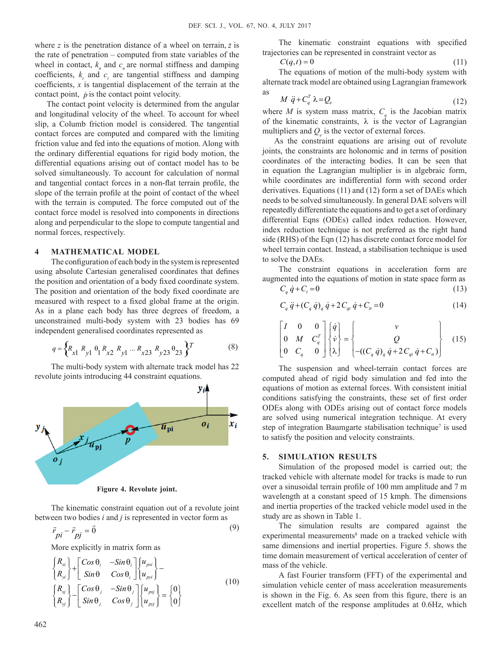where *z* is the penetration distance of a wheel on terrain, *z* is the rate of penetration – computed from state variables of the wheel in contact,  $k_n$  and  $c_n$  are normal stiffness and damping coefficients,  $k_{t}$  and  $c_{t}$  are tangential stiffness and damping coefficients, *x* is tangential displacement of the terrain at the contact point,  $\dot{p}$  is the contact point velocity.

The contact point velocity is determined from the angular and longitudinal velocity of the wheel. To account for wheel slip, a Columb friction model is considered. The tangential contact forces are computed and compared with the limiting friction value and fed into the equations of motion. Along with the ordinary differential equations for rigid body motion, the differential equations arising out of contact model has to be solved simultaneously. To account for calculation of normal and tangential contact forces in a non-flat terrain profile, the slope of the terrain profile at the point of contact of the wheel with the terrain is computed. The force computed out of the contact force model is resolved into components in directions along and perpendicular to the slope to compute tangential and normal forces, respectively.

## **4 Mathematical model**

The configuration of each body in the system is represented using absolute Cartesian generalised coordinates that defines the position and orientation of a body fixed coordinate system. The position and orientation of the body fixed coordinate are measured with respect to a fixed global frame at the origin. As in a plane each body has three degrees of freedom, a unconstrained multi-body system with 23 bodies has 69 independent generalised coordinates represented as

$$
q = \left\{ R_{x1} \ R_{y1} \ \theta_1 \ R_{x2} \ R_{y1} \dots \ R_{x23} \ R_{y23} \theta_{23} \right\}^T \tag{8}
$$

The multi-body system with alternate track model has 22 revolute joints introducing 44 constraint equations.



**Figure 4. Revolute joint.**

The kinematic constraint equation out of a revolute joint between two bodies *i* and *j* is represented in vector form as

$$
\vec{r}_{pi} - \vec{r}_{pj} = \vec{0}
$$
\n(9)

More explicitly in matrix form as

$$
\begin{cases}\nR_{xi} \\
R_{yi}\n\end{cases} + \begin{bmatrix}\nCos \theta_i & -Sin \theta_i \\
Sin \theta & Cos \theta_i\n\end{bmatrix}\n\begin{bmatrix}\nu_{psi} \\
u_{pyi}\n\end{bmatrix} - \n\begin{bmatrix}\nR_{yi} \\
R_{yi}\n\end{bmatrix} - \begin{bmatrix}\nCos \theta_j & -Sin \theta_j \\
Sin \theta_j & Cos \theta_j\n\end{bmatrix}\n\begin{bmatrix}\nu_{psi} \\
u_{pyi}\n\end{bmatrix} = \n\begin{bmatrix}\n0 \\
0\n\end{bmatrix}
$$
\n(10)

The kinematic constraint equations with specified trajectories can be represented in constraint vector as

$$
C(q,t) = 0
$$
 (11)  
The equations of motion of the multi-body system with

alternate track model are obtained using Lagrangian framework

as  
\n
$$
M \ddot{q} + C_q^T \lambda = Q_e
$$
\n(12)

where *M* is system mass matrix,  $C_q$  is the Jacobian matrix of the kinematic constraints,  $\lambda$  is the vector of Lagrangian multipliers and  $Q_e$  is the vector of external forces.

As the constraint equations are arising out of revolute joints, the constraints are holonomic and in terms of position coordinates of the interacting bodies. It can be seen that in equation the Lagrangian multiplier is in algebraic form, while coordinates are indifferential form with second order derivatives. Equations (11) and (12) form a set of DAEs which needs to be solved simultaneously. In general DAE solvers will repeatedly differentiate the equations and to get a set of ordinary differential Eqns (ODEs) called index reduction. However, index reduction technique is not preferred as the right hand side (RHS) of the Eqn (12) has discrete contact force model for wheel terrain contact. Instead, a stabilisation technique is used to solve the DAEs.

The constraint equations in acceleration form are augmented into the equations of motion in state space form as

$$
C_q \dot{q} + C_t = 0 \tag{13}
$$

$$
C_q \ddot{q} + (C_q \dot{q})_q \dot{q} + 2C_{qt} \dot{q} + C_{tt} = 0 \tag{14}
$$

$$
\begin{bmatrix} I & 0 & 0 \ 0 & M & C_q^T \\ 0 & C_q & 0 \end{bmatrix} \begin{bmatrix} \dot{q} \\ \dot{v} \\ \lambda \end{bmatrix} = \begin{Bmatrix} v \\ Q \\ -( (C_q \dot{q})_q \dot{q} + 2C_{qt} \dot{q} + C_{tt} ) \end{Bmatrix}
$$
(15)

The suspension and wheel-terrain contact forces are computed ahead of rigid body simulation and fed into the equations of motion as external forces. With consistent initial conditions satisfying the constraints, these set of first order ODEs along with ODEs arising out of contact force models are solved using numerical integration technique. At every step of integration Baumgarte stabilisation technique<sup>7</sup> is used to satisfy the position and velocity constraints.

#### **5. Simulation results**

Simulation of the proposed model is carried out; the tracked vehicle with alternate model for tracks is made to run over a sinusoidal terrain profile of 100 mm amplitude and 7 m wavelength at a constant speed of 15 kmph. The dimensions and inertia properties of the tracked vehicle model used in the study are as shown in Table 1.

The simulation results are compared against the experimental measurements<sup>8</sup> made on a tracked vehicle with same dimensions and inertial properties. Figure 5. shows the time domain measurement of vertical acceleration of center of mass of the vehicle.

A fast Fourier transform (FFT) of the experimental and simulation vehicle center of mass acceleration measurements is shown in the Fig. 6. As seen from this figure, there is an excellent match of the response amplitudes at 0.6Hz, which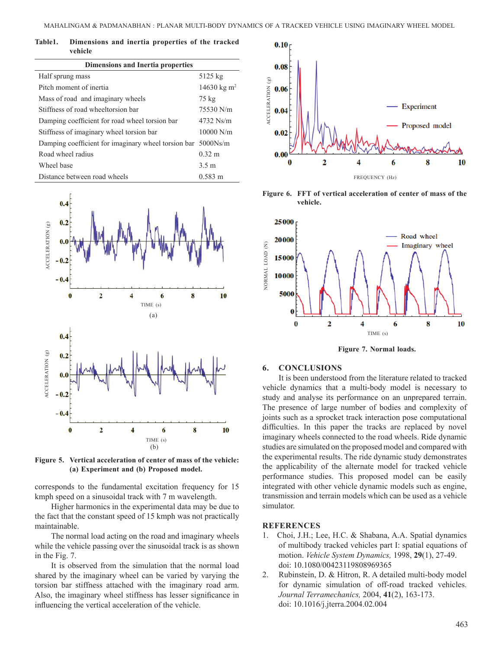| Table1. | Dimensions and inertia properties of the tracked |  |  |  |
|---------|--------------------------------------------------|--|--|--|
|         | vehicle                                          |  |  |  |

| <b>Dimensions and Inertia properties</b>                     |                         |  |  |  |  |  |
|--------------------------------------------------------------|-------------------------|--|--|--|--|--|
| Half sprung mass                                             | 5125 kg                 |  |  |  |  |  |
| Pitch moment of inertia                                      | 14630 kg m <sup>2</sup> |  |  |  |  |  |
| Mass of road and imaginary wheels                            | $75 \text{ kg}$         |  |  |  |  |  |
| Stiffness of road wheeltorsion bar                           | 75530 N/m               |  |  |  |  |  |
| Damping coefficient for road wheel torsion bar               | $4732$ Ns/m             |  |  |  |  |  |
| Stiffness of imaginary wheel torsion bar                     | $10000$ N/m             |  |  |  |  |  |
| Damping coefficient for imaginary wheel torsion bar 5000Ns/m |                         |  |  |  |  |  |
| Road wheel radius                                            | $0.32 \; \text{m}$      |  |  |  |  |  |
| Wheel base                                                   | 3.5 m                   |  |  |  |  |  |
| Distance between road wheels                                 | $0.583 \text{ m}$       |  |  |  |  |  |



**Figure 5. Vertical acceleration of center of mass of the vehicle: (a) Experiment and (b) Proposed model.**

corresponds to the fundamental excitation frequency for 15 kmph speed on a sinusoidal track with 7 m wavelength.

Higher harmonics in the experimental data may be due to the fact that the constant speed of 15 kmph was not practically maintainable.

The normal load acting on the road and imaginary wheels while the vehicle passing over the sinusoidal track is as shown in the Fig. 7.

It is observed from the simulation that the normal load shared by the imaginary wheel can be varied by varying the torsion bar stiffness attached with the imaginary road arm. Also, the imaginary wheel stiffness has lesser significance in influencing the vertical acceleration of the vehicle.



**Figure 6. FFT of vertical acceleration of center of mass of the vehicle.**



 **Figure 7. Normal loads.**

#### **6. Conclusions**

It is been understood from the literature related to tracked vehicle dynamics that a multi-body model is necessary to study and analyse its performance on an unprepared terrain. The presence of large number of bodies and complexity of joints such as a sprocket track interaction pose computational difficulties. In this paper the tracks are replaced by novel imaginary wheels connected to the road wheels. Ride dynamic studies are simulated on the proposed model and compared with the experimental results. The ride dynamic study demonstrates the applicability of the alternate model for tracked vehicle performance studies. This proposed model can be easily integrated with other vehicle dynamic models such as engine, transmission and terrain models which can be used as a vehicle simulator.

## **References**

- 1. Choi, J.H.; Lee, H.C. & Shabana, A.A. Spatial dynamics of multibody tracked vehicles part I: spatial equations of motion. *Vehicle System Dynamics,* 1998, **29**(1), 27-49. doi: 10.1080/00423119808969365
- 2. Rubinstein, D. & Hitron, R. A detailed multi-body model for dynamic simulation of off-road tracked vehicles. *Journal Terramechanics,* 2004, **41**(2), 163-173. doi: 10.1016/j.jterra.2004.02.004